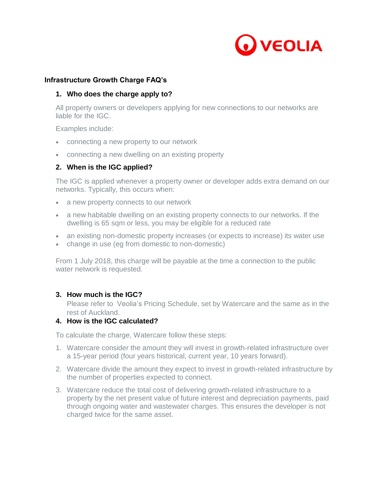

### **Infrastructure Growth Charge FAQ's**

## **1. Who does the charge apply to?**

All property owners or developers applying for new connections to our networks are liable for the IGC.

Examples include:

- connecting a new property to our network
- connecting a new dwelling on an existing property

## **2. When is the IGC applied?**

The IGC is applied whenever a property owner or developer adds extra demand on our networks. Typically, this occurs when:

- a new property connects to our network
- a new habitable dwelling on an existing property connects to our networks. If the dwelling is 65 sqm or less, you may be eligible for a reduced rate
- an existing non-domestic property increases (or expects to increase) its water use
- change in use (eg from domestic to non-domestic)

From 1 July 2018, this charge will be payable at the time a connection to the public water network is requested.

### **3. How much is the IGC?**

Please refer to Veolia's Pricing Schedule, set by Watercare and the same as in the rest of Auckland.

### **4. How is the IGC calculated?**

To calculate the charge, Watercare follow these steps:

- 1. Watercare consider the amount they will invest in growth-related infrastructure over a 15-year period (four years historical, current year, 10 years forward).
- 2. Watercare divide the amount they expect to invest in growth-related infrastructure by the number of properties expected to connect.
- 3. Watercare reduce the total cost of delivering growth-related infrastructure to a property by the net present value of future interest and depreciation payments, paid through ongoing water and wastewater charges. This ensures the developer is not charged twice for the same asset.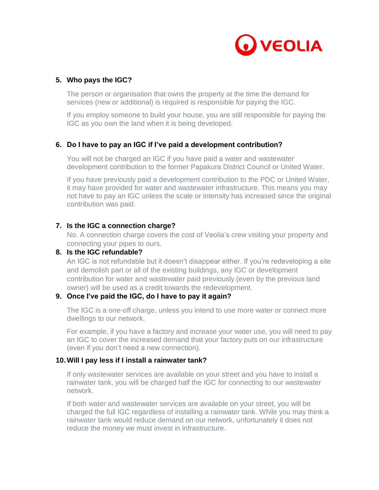

## **5. Who pays the IGC?**

The person or organisation that owns the property at the time the demand for services (new or additional) is required is responsible for paying the IGC.

If you employ someone to build your house, you are still responsible for paying the IGC as you own the land when it is being developed.

## **6. Do I have to pay an IGC if I've paid a development contribution?**

You will not be charged an IGC if you have paid a water and wastewater development contribution to the former Papakura District Council or United Water.

If you have previously paid a development contribution to the PDC or United Water, it may have provided for water and wastewater infrastructure. This means you may not have to pay an IGC unless the scale or intensity has increased since the original contribution was paid.

## **7. Is the IGC a connection charge?**

No. A connection charge covers the cost of Veolia's crew visiting your property and connecting your pipes to ours.

## **8. Is the IGC refundable?**

An IGC is not refundable but it doesn't disappear either. If you're redeveloping a site and demolish part or all of the existing buildings, any IGC or development contribution for water and wastewater paid previously (even by the previous land owner) will be used as a credit towards the redevelopment.

## **9. Once I've paid the IGC, do I have to pay it again?**

The IGC is a one-off charge, unless you intend to use more water or connect more dwellings to our network.

For example, if you have a factory and increase your water use, you will need to pay an IGC to cover the increased demand that your factory puts on our infrastructure (even if you don't need a new connection).

### **10. Will I pay less if I install a rainwater tank?**

If only wastewater services are available on your street and you have to install a rainwater tank, you will be charged half the IGC for connecting to our wastewater network.

If both water and wastewater services are available on your street, you will be charged the full IGC regardless of installing a rainwater tank. While you may think a rainwater tank would reduce demand on our network, unfortunately it does not reduce the money we must invest in infrastructure.